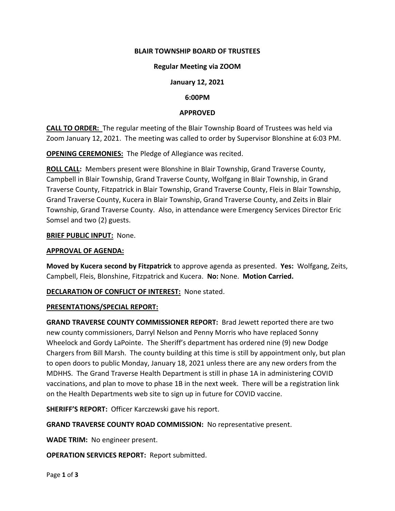## **BLAIR TOWNSHIP BOARD OF TRUSTEES**

#### **Regular Meeting via ZOOM**

#### **January 12, 2021**

#### **6:00PM**

#### **APPROVED**

**CALL TO ORDER:** The regular meeting of the Blair Township Board of Trustees was held via Zoom January 12, 2021. The meeting was called to order by Supervisor Blonshine at 6:03 PM.

**OPENING CEREMONIES:** The Pledge of Allegiance was recited.

**ROLL CALL:** Members present were Blonshine in Blair Township, Grand Traverse County, Campbell in Blair Township, Grand Traverse County, Wolfgang in Blair Township, in Grand Traverse County, Fitzpatrick in Blair Township, Grand Traverse County, Fleis in Blair Township, Grand Traverse County, Kucera in Blair Township, Grand Traverse County, and Zeits in Blair Township, Grand Traverse County. Also, in attendance were Emergency Services Director Eric Somsel and two (2) guests.

#### **BRIEF PUBLIC INPUT:** None.

#### **APPROVAL OF AGENDA:**

**Moved by Kucera second by Fitzpatrick** to approve agenda as presented. **Yes:** Wolfgang, Zeits, Campbell, Fleis, Blonshine, Fitzpatrick and Kucera. **No:** None. **Motion Carried.**

**DECLARATION OF CONFLICT OF INTEREST:** None stated.

#### **PRESENTATIONS/SPECIAL REPORT:**

**GRAND TRAVERSE COUNTY COMMISSIONER REPORT:** Brad Jewett reported there are two new county commissioners, Darryl Nelson and Penny Morris who have replaced Sonny Wheelock and Gordy LaPointe. The Sheriff's department has ordered nine (9) new Dodge Chargers from Bill Marsh. The county building at this time is still by appointment only, but plan to open doors to public Monday, January 18, 2021 unless there are any new orders from the MDHHS. The Grand Traverse Health Department is still in phase 1A in administering COVID vaccinations, and plan to move to phase 1B in the next week. There will be a registration link on the Health Departments web site to sign up in future for COVID vaccine.

**SHERIFF'S REPORT:** Officer Karczewski gave his report.

**GRAND TRAVERSE COUNTY ROAD COMMISSION:** No representative present.

**WADE TRIM:** No engineer present.

**OPERATION SERVICES REPORT:** Report submitted.

Page **1** of **3**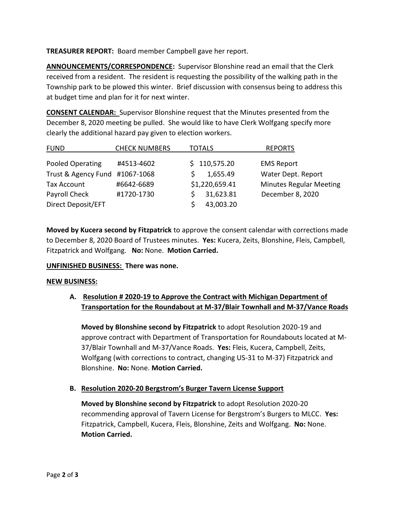**TREASURER REPORT:** Board member Campbell gave her report.

**ANNOUNCEMENTS/CORRESPONDENCE:** Supervisor Blonshine read an email that the Clerk received from a resident. The resident is requesting the possibility of the walking path in the Township park to be plowed this winter. Brief discussion with consensus being to address this at budget time and plan for it for next winter.

**CONSENT CALENDAR:** Supervisor Blonshine request that the Minutes presented from the December 8, 2020 meeting be pulled. She would like to have Clerk Wolfgang specify more clearly the additional hazard pay given to election workers.

| <b>FUND</b>                    | <b>CHECK NUMBERS</b> | TOTALS         | <b>REPORTS</b>                 |
|--------------------------------|----------------------|----------------|--------------------------------|
| Pooled Operating               | #4513-4602           | \$110,575.20   | <b>EMS Report</b>              |
| Trust & Agency Fund #1067-1068 |                      | 1,655.49       | Water Dept. Report             |
| Tax Account                    | #6642-6689           | \$1,220,659.41 | <b>Minutes Regular Meeting</b> |
| Payroll Check                  | #1720-1730           | 31,623.81      | December 8, 2020               |
| Direct Deposit/EFT             |                      | 43,003.20      |                                |

**Moved by Kucera second by Fitzpatrick** to approve the consent calendar with corrections made to December 8, 2020 Board of Trustees minutes. **Yes:** Kucera, Zeits, Blonshine, Fleis, Campbell, Fitzpatrick and Wolfgang. **No:** None. **Motion Carried.**

## **UNFINISHED BUSINESS: There was none.**

#### **NEW BUSINESS:**

# **A. Resolution # 2020-19 to Approve the Contract with Michigan Department of Transportation for the Roundabout at M-37/Blair Townhall and M-37/Vance Roads**

**Moved by Blonshine second by Fitzpatrick** to adopt Resolution 2020-19 and approve contract with Department of Transportation for Roundabouts located at M-37/Blair Townhall and M-37/Vance Roads. **Yes:** Fleis, Kucera, Campbell, Zeits, Wolfgang (with corrections to contract, changing US-31 to M-37) Fitzpatrick and Blonshine. **No:** None. **Motion Carried.**

## **B. Resolution 2020-20 Bergstrom's Burger Tavern License Support**

**Moved by Blonshine second by Fitzpatrick** to adopt Resolution 2020-20 recommending approval of Tavern License for Bergstrom's Burgers to MLCC. **Yes:** Fitzpatrick, Campbell, Kucera, Fleis, Blonshine, Zeits and Wolfgang. **No:** None. **Motion Carried.**